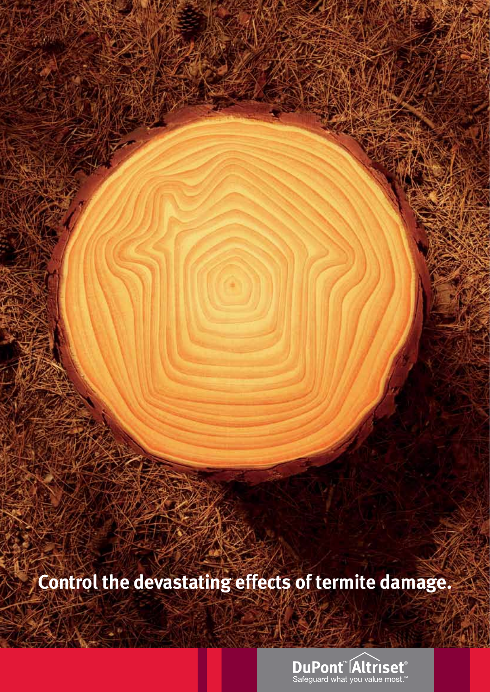**Control the devastating effects of termite damage.** 

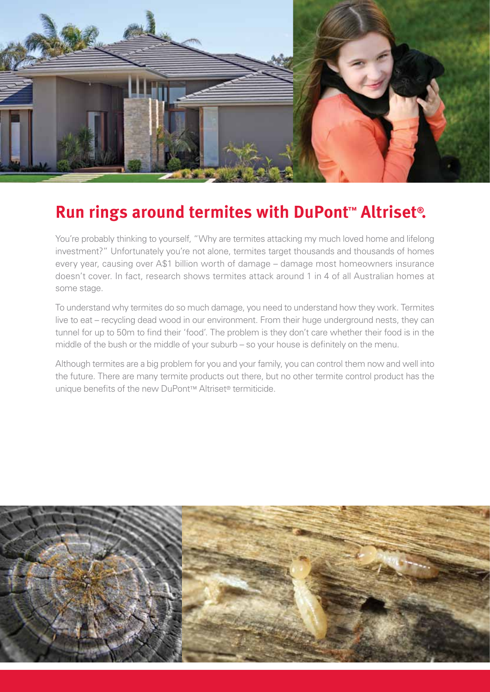

# **Run rings around [termites](www.termite.com.au) with [DuPont™ Altriset®.](http://termite.com.au/altriset.html)**

You're probably thinking to yourself, "Why are termites attacking my much loved home and lifelong investment?" Unfortunately you're not alone, termites target thousands and thousands of homes every year, causing over A\$1 billion worth of damage – damage most homeowners insurance doesn't cover. In fact, research shows termites attack around 1 in 4 of all Australian homes at some stage.

To understand why termites do so much damage, you need to understand how they work. Termites live to eat – recycling dead wood in our environment. From their huge underground nests, they can tunnel for up to 50m to find their 'food'. The problem is they don't care whether their food is in the middle of the bush or the middle of your suburb – so your house is definitely on the menu.

Although termites are a big problem for you and your family, you can control them now and well into the future. There are many termite products out there, but no other [termite control](http://www.termite.com/termite-control.html) product has the unique benefits of the new [DuPont™ Altriset® termiticide.](http://termite.com.au/DuPont%20ALTRISET%20Termite%20Control%20brochure%20Oct%202010.pdf)

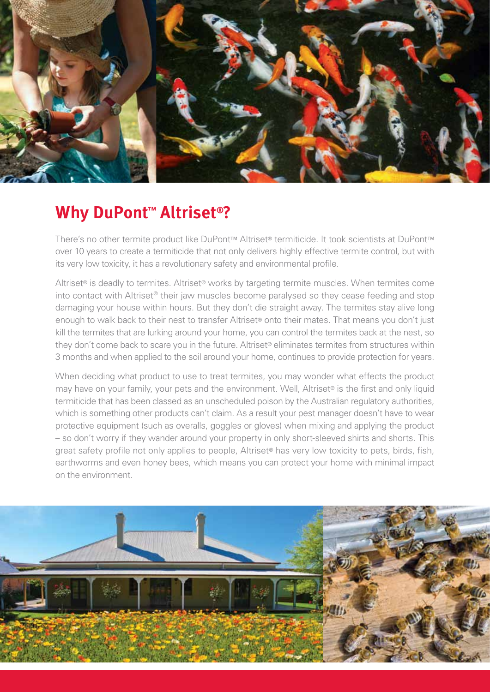

# **Why [DuPont™ Altriset®?](http://termite.com.au/altriset.html)**

There's no other termite product like DuPont™ Altriset® termiticide. It took scientists at DuPont™ over 10 years to create a termiticide that not only delivers highly effective [termite control,](http://www.termite.com/termite-control.html) but with its very low toxicity, it has a revolutionary safety and environmental profile.

Altriset® is deadly to [termites](http://www.termites.com.au/). Altriset® works by targeting termite muscles. When termites come into contact with Altriset® their jaw muscles become paralysed so they cease feeding and stop damaging your house within hours. But they don't die straight away. The termites stay alive long enough to walk back to their nest to transfer Altriset® onto their mates. That means you don't just kill the termites that are lurking around your home, you can control the termites back at the nest, so they don't come back to scare you in the future. Altriset® eliminates termites from structures within 3 months and when applied to the soil around your home, continues to provide protection for years.

When deciding what product to use to treat termites, you may wonder what effects the product may have on your family, your pets and the environment. Well, Altriset® is the first and only liquid termiticide that has been classed as an unscheduled poison by the Australian regulatory authorities, which is something other products can't claim. As a result your pest manager doesn't have to wear protective equipment (such as overalls, goggles or gloves) when mixing and applying the product – so don't worry if they wander around your property in only short-sleeved shirts and shorts. This great safety profile not only applies to people, Altriset® has very low toxicity to pets, birds, fish, earthworms and even honey bees, which means you can protect your home with minimal impact on the environment.

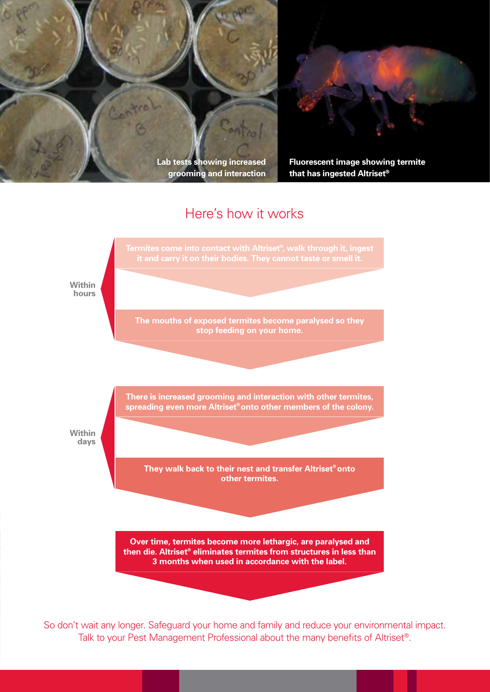



**Fluorescent image showing termite that has ingested Altriset®**

### Here's how it works



So don't wait any longer. Safeguard your home and family and reduce your environmental impact. Talk to your Pest Management Professional about the many benefits of Altriset®.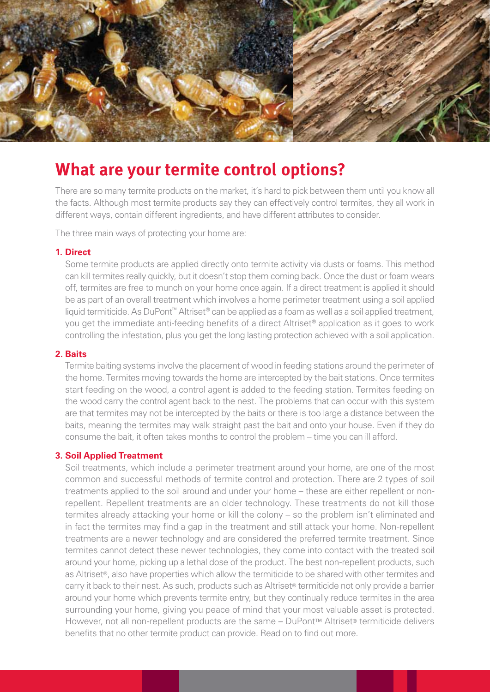

## **What are your [termite control](http://www.termite.com/termite-control.html) options?**

There are so many termite products on the market, it's hard to pick between them until you know all the facts. Although most termite products say they can effectively control termites, they all work in different ways, contain different ingredients, and have different attributes to consider.

The three main ways of protecting your home are:

#### **1. Direct**

Some termite products are applied directly onto termite activity via dusts or foams. This method can kill termites really quickly, but it doesn't stop them coming back. Once the dust or foam wears off, termites are free to munch on your home once again. If a direct treatment is applied it should be as part of an overall treatment which involves a home perimeter treatment using a soil applied liquid termiticide. As DuPont™ Altriset® can be applied as a foam as well as a soil applied treatment, you get the immediate anti-feeding benefits of a direct Altriset® application as it goes to work controlling the infestation, plus you get the long lasting protection achieved with a soil application.

#### **2. Baits**

[Termite baiting](http://www.termite.com.au/termite-baits.html) systems involve the placement of wood in feeding stations around the perimeter of the home. Termites moving towards the home are intercepted by the bait stations. Once termites start feeding on the wood, a control agent is added to the feeding station. Termites feeding on the wood carry the control agent back to the nest. The problems that can occur with this system are that [termites](http://www.termites.com.au/) may not be intercepted by the baits or there is too large a distance between the baits, meaning the termites may walk straight past the bait and onto your house. Even if they do consume the bait, it often takes months to control the problem – time you can ill afford.

#### **3. Soil Applied Treatment**

Soil treatments, which include a perimeter treatment around your home, are one of the most common and successful methods of [termite control](http://www.termite.com/termite-control.html) and protection. There are 2 types of soil treatments applied to the soil around and under your home – these are either repellent or nonrepellent. Repellent treatments are an older technology. These treatments do not kill those termites already attacking your home or kill the colony – so the problem isn't eliminated and in fact the termites may find a gap in the treatment and still attack your home. Non-repellent treatments are a newer technology and are considered the preferred termite treatment. Since termites cannot detect these newer technologies, they come into contact with the treated soil around your home, picking up a lethal dose of the product. The best non-repellent products, such as Altriset®, also have properties which allow the termiticide to be shared with other termites and carry it back to their nest. As such, products such as Altriset® termiticide not only provide a barrier around your home which prevents termite entry, but they continually reduce termites in the area surrounding your home, giving you peace of mind that your most valuable asset is protected. However, not all non-repellent products are the same – [DuPont™ Altriset® termiticide](http://termite.com.au/DuPont%20ALTRISET%20Termite%20Control%20brochure%20Oct%202010.pdf) delivers benefits that no other termite product can provide. Read on to find out more.